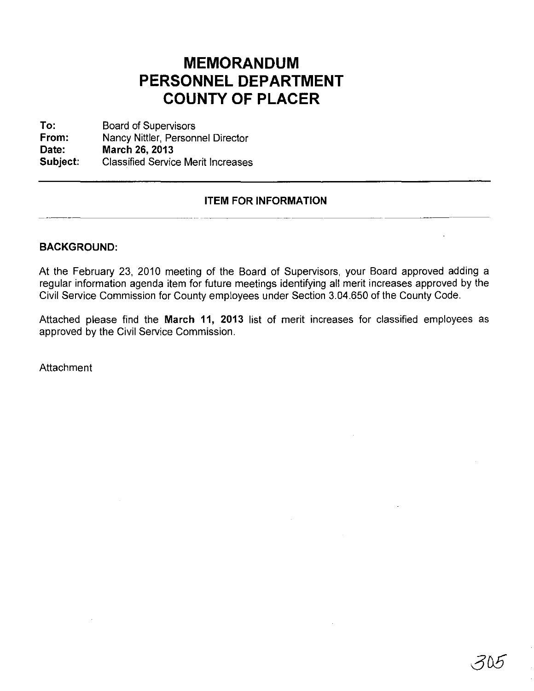## **MEMORANDUM** PERSONNEL DEPARTMENT **COUNTY OF PLACER**

**To: From: Date: Subject:** Board of Supervisors Nancy Nittler, Personnel Director **March 26, 2013** Classified Service Merit Increases

## **ITEM FOR INFORMATION**

## **BACKGROUND:**

At the February 23, 2010 meeting of the Board of Supervisors, your Board approved adding a regular information agenda item for future meetings identifying all merit increases approved by the Civil Service Commission for County employees under Section 3.04.650 of the County Code.

Attached please find the **March 11, 2013** list of merit increases for classified employees as approved by the Civil Service Commission.

**Attachment**